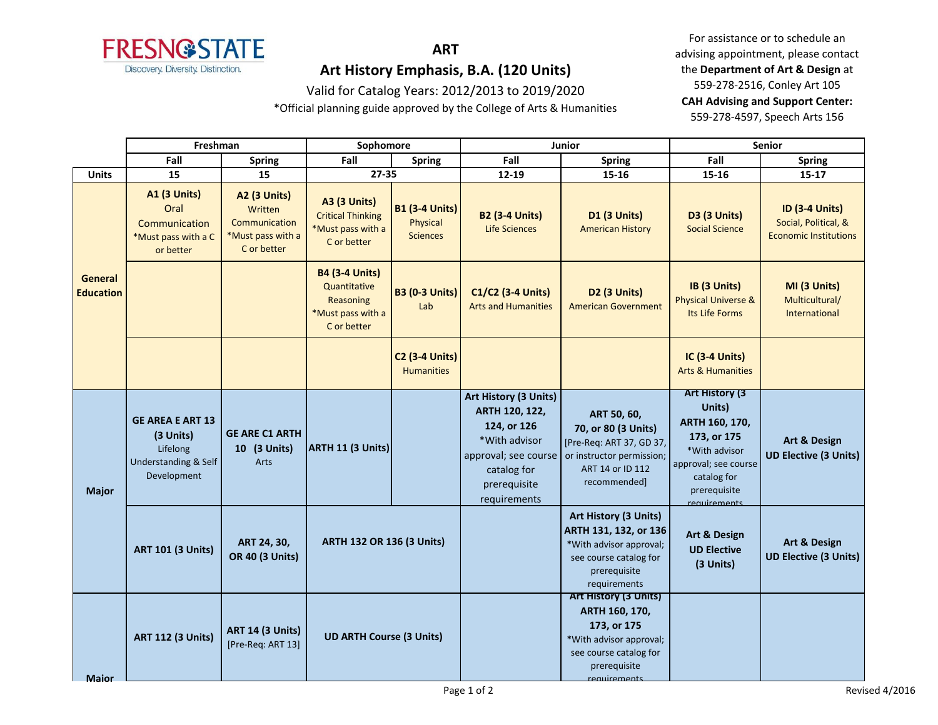

# **ART**

# **Art History Emphasis, B.A. (120 Units)**

### Valid for Catalog Years: 2012/2013 to 2019/2020

\*Official planning guide approved by the College of Arts & Humanities

For assistance or to schedule an advising appointment, please contact the **Department of Art & Design** at 559-278-2516, Conley Art 105 **CAH Advising and Support Center:**  559-278-4597, Speech Arts 156

|                                    | Freshman                                                                                |                                                                                     | Sophomore                                                                              |                                                      | Junior                                                                                                                 |                                                                                                                                                      | <b>Senior</b>                                                                                                                                             |                                                                               |
|------------------------------------|-----------------------------------------------------------------------------------------|-------------------------------------------------------------------------------------|----------------------------------------------------------------------------------------|------------------------------------------------------|------------------------------------------------------------------------------------------------------------------------|------------------------------------------------------------------------------------------------------------------------------------------------------|-----------------------------------------------------------------------------------------------------------------------------------------------------------|-------------------------------------------------------------------------------|
|                                    | Fall                                                                                    | <b>Spring</b>                                                                       | Fall                                                                                   | <b>Spring</b>                                        | Fall                                                                                                                   | <b>Spring</b>                                                                                                                                        | Fall                                                                                                                                                      | Spring                                                                        |
| <b>Units</b>                       | 15                                                                                      | 15                                                                                  | 27-35                                                                                  |                                                      | 12-19                                                                                                                  | 15-16                                                                                                                                                | 15-16                                                                                                                                                     | 15-17                                                                         |
|                                    | <b>A1 (3 Units)</b><br>Oral<br>Communication<br>*Must pass with a C<br>or better        | <b>A2 (3 Units)</b><br>Written<br>Communication<br>*Must pass with a<br>C or better | <b>A3 (3 Units)</b><br><b>Critical Thinking</b><br>*Must pass with a<br>C or better    | <b>B1 (3-4 Units)</b><br>Physical<br><b>Sciences</b> | <b>B2 (3-4 Units)</b><br>Life Sciences                                                                                 | <b>D1 (3 Units)</b><br><b>American History</b>                                                                                                       | D3 (3 Units)<br><b>Social Science</b>                                                                                                                     | <b>ID (3-4 Units)</b><br>Social, Political, &<br><b>Economic Institutions</b> |
| <b>General</b><br><b>Education</b> |                                                                                         |                                                                                     | <b>B4 (3-4 Units)</b><br>Quantitative<br>Reasoning<br>*Must pass with a<br>C or better | <b>B3 (0-3 Units)</b><br>Lab                         | C1/C2 (3-4 Units)<br><b>Arts and Humanities</b>                                                                        | D <sub>2</sub> (3 Units)<br><b>American Government</b>                                                                                               | IB (3 Units)<br><b>Physical Universe &amp;</b><br>Its Life Forms                                                                                          | MI (3 Units)<br>Multicultural/<br>International                               |
|                                    |                                                                                         |                                                                                     |                                                                                        | <b>C2 (3-4 Units)</b><br><b>Humanities</b>           |                                                                                                                        |                                                                                                                                                      | <b>IC (3-4 Units)</b><br><b>Arts &amp; Humanities</b>                                                                                                     |                                                                               |
| <b>Major</b>                       | <b>GE AREA E ART 13</b><br>(3 Units)<br>Lifelong<br>Understanding & Self<br>Development | <b>GE ARE C1 ARTH</b><br>10 (3 Units)<br><b>Arts</b>                                | ARTH 11 (3 Units)                                                                      |                                                      | Art History (3 Units)<br>ARTH 120, 122,<br>124, or 126<br>*With advisor<br>catalog for<br>prerequisite<br>requirements | ART 50, 60,<br>70, or 80 (3 Units)<br>[Pre-Req: ART 37, GD 37,<br>approval; see course or instructor permission;<br>ART 14 or ID 112<br>recommended] | <b>Art History (3)</b><br>Units)<br>ARTH 160, 170,<br>173, or 175<br>*With advisor<br>approval; see course<br>catalog for<br>prerequisite<br>requirements | <b>Art &amp; Design</b><br><b>UD Elective (3 Units)</b>                       |
|                                    | <b>ART 101 (3 Units)</b>                                                                | ART 24, 30,<br><b>OR 40 (3 Units)</b>                                               | <b>ARTH 132 OR 136 (3 Units)</b>                                                       |                                                      |                                                                                                                        | Art History (3 Units)<br>ARTH 131, 132, or 136<br>*With advisor approval;<br>see course catalog for<br>prerequisite<br>requirements                  | <b>Art &amp; Design</b><br><b>UD Elective</b><br>(3 Units)                                                                                                | Art & Design<br><b>UD Elective (3 Units)</b>                                  |
| <b>Maior</b>                       | <b>ART 112 (3 Units)</b>                                                                | <b>ART 14 (3 Units)</b><br>[Pre-Req: ART 13]                                        | <b>UD ARTH Course (3 Units)</b>                                                        |                                                      |                                                                                                                        | <b>Art History (3 Units)</b><br>ARTH 160, 170,<br>173, or 175<br>*With advisor approval;<br>see course catalog for<br>prerequisite<br>requirements   |                                                                                                                                                           |                                                                               |